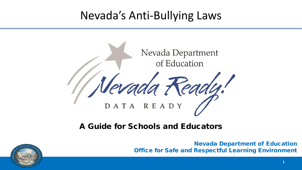### Nevada's Anti-Bullying Laws



#### A Guide for Schools and Educators



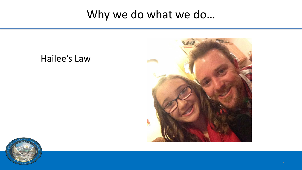### Why we do what we do…





Hailee's Law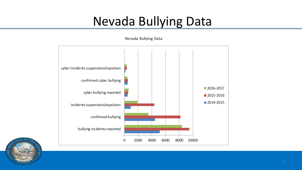# Nevada Bullying Data



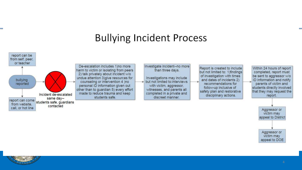### **Bullying Incident Process**





Aggressor or victim may appeal to DOE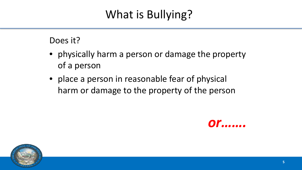# What is Bullying?

#### Does it?

- physically harm a person or damage the property of a person
- place a person in reasonable fear of physical harm or damage to the property of the person



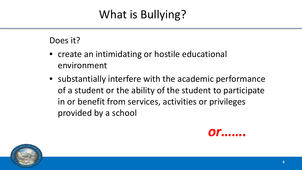# What is Bullying?

#### Does it?

- create an intimidating or hostile educational environment
- substantially interfere with the academic performance of a student or the ability of the student to participate in or benefit from services, activities or privileges provided by a school



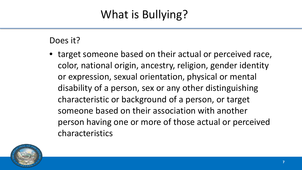# What is Bullying?

#### Does it?

• target someone based on their actual or perceived race, color, national origin, ancestry, religion, gender identity or expression, sexual orientation, physical or mental disability of a person, sex or any other distinguishing characteristic or background of a person, or target someone based on their association with another person having one or more of those actual or perceived characteristics

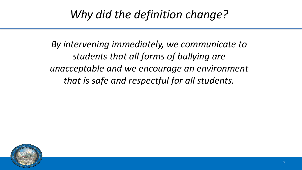### *Why did the definition change?*

*By intervening immediately, we communicate to students that all forms of bullying are unacceptable and we encourage an environment that is safe and respectful for all students.*

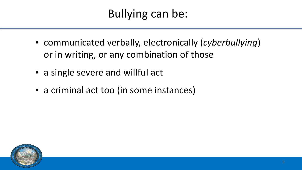- communicated verbally, electronically (*cyberbullying*) or in writing, or any combination of those
- a single severe and willful act
- a criminal act too (in some instances)

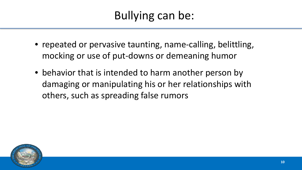- repeated or pervasive taunting, name-calling, belittling, mocking or use of put-downs or demeaning humor
- behavior that is intended to harm another person by damaging or manipulating his or her relationships with others, such as spreading false rumors

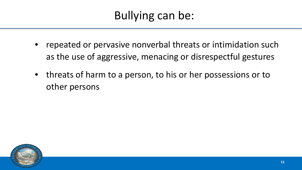- repeated or pervasive nonverbal threats or intimidation such as the use of aggressive, menacing or disrespectful gestures
- threats of harm to a person, to his or her possessions or to other persons

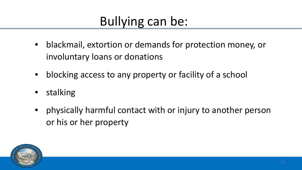- blackmail, extortion or demands for protection money, or involuntary loans or donations
- blocking access to any property or facility of a school
- **stalking**
- physically harmful contact with or injury to another person or his or her property

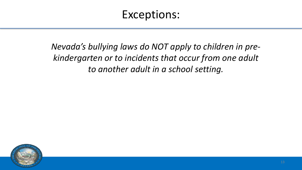### Exceptions:

*Nevada's bullying laws do NOT apply to children in prekindergarten or to incidents that occur from one adult to another adult in a school setting.*

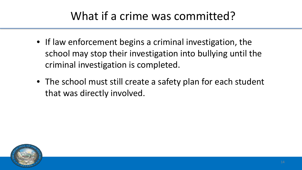## What if a crime was committed?

- If law enforcement begins a criminal investigation, the school may stop their investigation into bullying until the criminal investigation is completed.
- The school must still create a safety plan for each student that was directly involved.

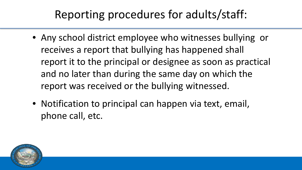## Reporting procedures for adults/staff:

- Any school district employee who witnesses bullying or receives a report that bullying has happened shall report it to the principal or designee as soon as practical and no later than during the same day on which the report was received or the bullying witnessed.
- Notification to principal can happen via text, email, phone call, etc.

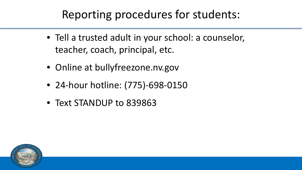### Reporting procedures for students:

- Tell a trusted adult in your school: a counselor, teacher, coach, principal, etc.
- Online at bullyfreezone.nv.gov
- 24-hour hotline: (775)-698-0150
- Text STANDUP to 839863

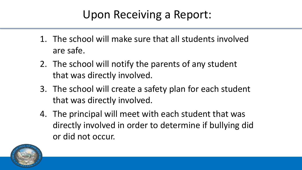## Upon Receiving a Report:

- 1. The school will make sure that all students involved are safe.
- 2. The school will notify the parents of any student that was directly involved.
- 3. The school will create a safety plan for each student that was directly involved.
- 4. The principal will meet with each student that was directly involved in order to determine if bullying did or did not occur.

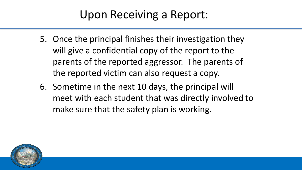### Upon Receiving a Report:

- 5. Once the principal finishes their investigation they will give a confidential copy of the report to the parents of the reported aggressor. The parents of the reported victim can also request a copy.
- 6. Sometime in the next 10 days, the principal will meet with each student that was directly involved to make sure that the safety plan is working.

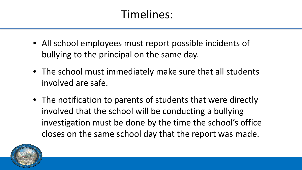## Timelines:

- All school employees must report possible incidents of bullying to the principal on the same day.
- The school must immediately make sure that all students involved are safe.
- The notification to parents of students that were directly involved that the school will be conducting a bullying investigation must be done by the time the school's office closes on the same school day that the report was made.

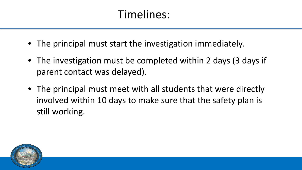## Timelines:

- The principal must start the investigation immediately.
- The investigation must be completed within 2 days (3 days if parent contact was delayed).
- The principal must meet with all students that were directly involved within 10 days to make sure that the safety plan is still working.

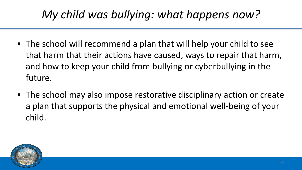# *My child was bullying: what happens now?*

- The school will recommend a plan that will help your child to see that harm that their actions have caused, ways to repair that harm, and how to keep your child from bullying or cyberbullying in the future.
- The school may also impose restorative disciplinary action or create a plan that supports the physical and emotional well-being of your child.

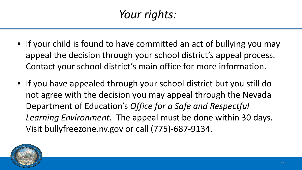# *Your rights:*

- If your child is found to have committed an act of bullying you may appeal the decision through your school district's appeal process. Contact your school district's main office for more information.
- If you have appealed through your school district but you still do not agree with the decision you may appeal through the Nevada Department of Education's *Office for a Safe and Respectful Learning Environment*. The appeal must be done within 30 days. Visit bullyfreezone.nv.gov or call (775)-687-9134.

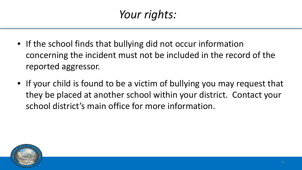# *Your rights:*

- If the school finds that bullying did not occur information concerning the incident must not be included in the record of the reported aggressor.
- If your child is found to be a victim of bullying you may request that they be placed at another school within your district. Contact your school district's main office for more information.

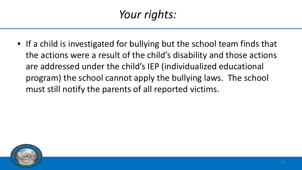# *Your rights:*

• If a child is investigated for bullying but the school team finds that the actions were a result of the child's disability and those actions are addressed under the child's IEP (individualized educational program) the school cannot apply the bullying laws. The school must still notify the parents of all reported victims.